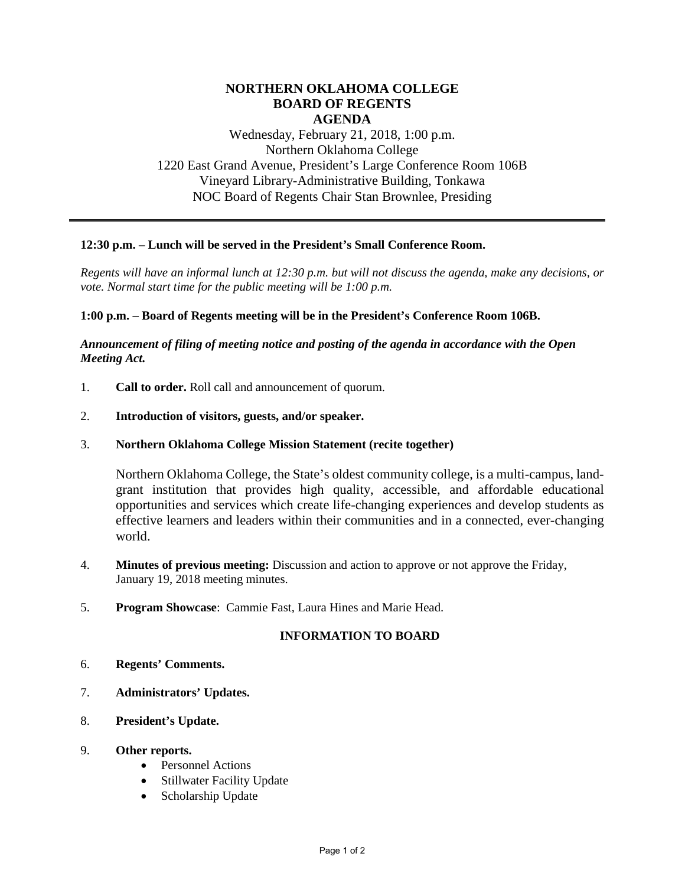# **NORTHERN OKLAHOMA COLLEGE BOARD OF REGENTS AGENDA**

Wednesday, February 21, 2018, 1:00 p.m. Northern Oklahoma College 1220 East Grand Avenue, President's Large Conference Room 106B Vineyard Library-Administrative Building, Tonkawa NOC Board of Regents Chair Stan Brownlee, Presiding

# **12:30 p.m. – Lunch will be served in the President's Small Conference Room.**

*Regents will have an informal lunch at 12:30 p.m. but will not discuss the agenda, make any decisions, or vote. Normal start time for the public meeting will be 1:00 p.m.* 

## **1:00 p.m. – Board of Regents meeting will be in the President's Conference Room 106B.**

## *Announcement of filing of meeting notice and posting of the agenda in accordance with the Open Meeting Act.*

- 1. **Call to order.** Roll call and announcement of quorum.
- 2. **Introduction of visitors, guests, and/or speaker.**
- 3. **Northern Oklahoma College Mission Statement (recite together)**

Northern Oklahoma College, the State's oldest community college, is a multi-campus, landgrant institution that provides high quality, accessible, and affordable educational opportunities and services which create life-changing experiences and develop students as effective learners and leaders within their communities and in a connected, ever-changing world.

- 4. **Minutes of previous meeting:** Discussion and action to approve or not approve the Friday, January 19, 2018 meeting minutes.
- 5. **Program Showcase**: Cammie Fast, Laura Hines and Marie Head.

## **INFORMATION TO BOARD**

- 6. **Regents' Comments.**
- 7. **Administrators' Updates.**
- 8. **President's Update.**
- 9. **Other reports.**
	- Personnel Actions
	- Stillwater Facility Update
	- Scholarship Update